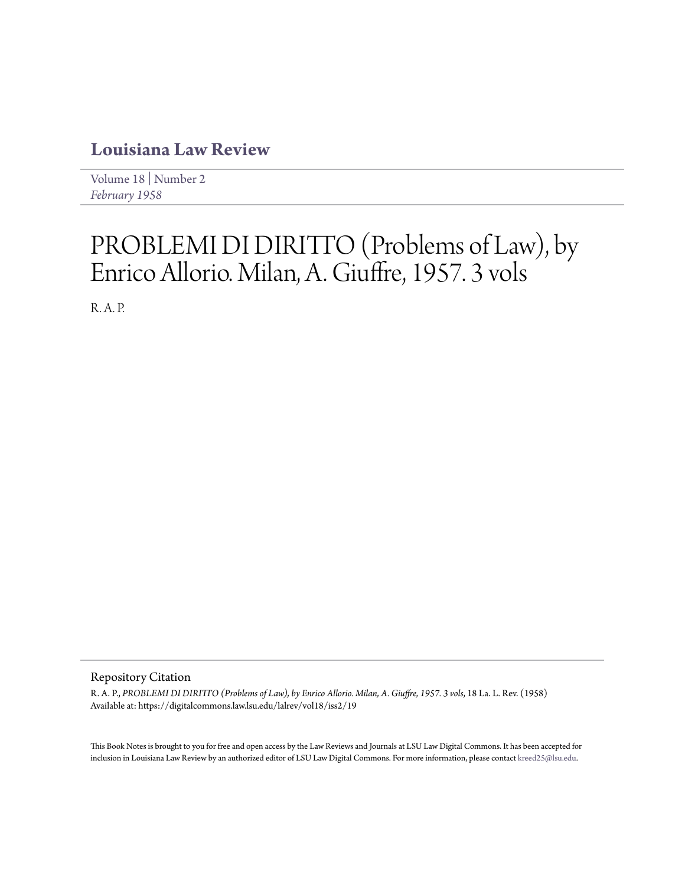## **[Louisiana Law Review](https://digitalcommons.law.lsu.edu/lalrev)**

[Volume 18](https://digitalcommons.law.lsu.edu/lalrev/vol18) | [Number 2](https://digitalcommons.law.lsu.edu/lalrev/vol18/iss2) *[February 1958](https://digitalcommons.law.lsu.edu/lalrev/vol18/iss2)*

## PROBLEMI DI DIRITTO (Problems of Law), by Enrico Allorio. Milan, A. Giuffre, 1957. 3 vols

R. A. P.

## Repository Citation

R. A. P., *PROBLEMI DI DIRITTO (Problems of Law), by Enrico Allorio. Milan, A. Giuffre, 1957. 3 vols*, 18 La. L. Rev. (1958) Available at: https://digitalcommons.law.lsu.edu/lalrev/vol18/iss2/19

This Book Notes is brought to you for free and open access by the Law Reviews and Journals at LSU Law Digital Commons. It has been accepted for inclusion in Louisiana Law Review by an authorized editor of LSU Law Digital Commons. For more information, please contact [kreed25@lsu.edu](mailto:kreed25@lsu.edu).